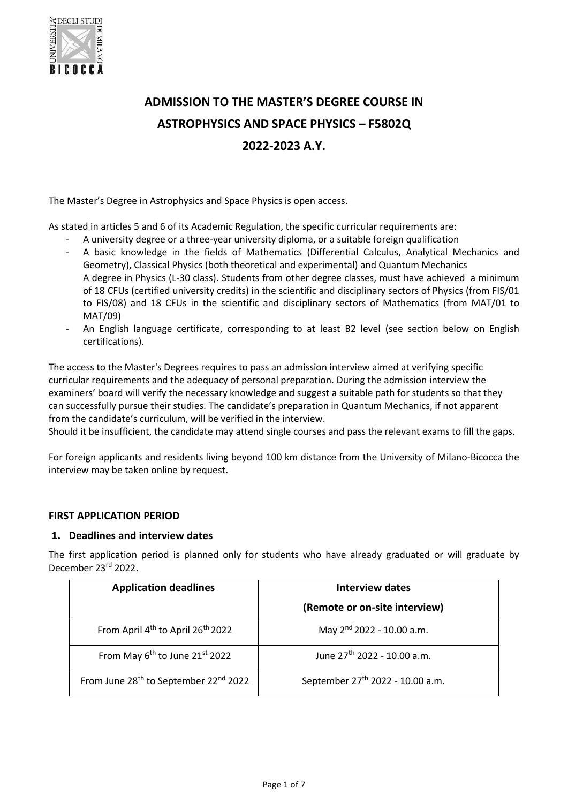

# **ADMISSION TO THE MASTER'S DEGREE COURSE IN ASTROPHYSICS AND SPACE PHYSICS – F5802Q 2022-2023 A.Y.**

The Master's Degree in Astrophysics and Space Physics is open access.

As stated in articles 5 and 6 of its Academic Regulation, the specific curricular requirements are:

- A university degree or a three-year university diploma, or a suitable foreign qualification
- A basic knowledge in the fields of Mathematics (Differential Calculus, Analytical Mechanics and Geometry), Classical Physics (both theoretical and experimental) and Quantum Mechanics A degree in Physics (L-30 class). Students from other degree classes, must have achieved a minimum of 18 CFUs (certified university credits) in the scientific and disciplinary sectors of Physics (from FIS/01 to FIS/08) and 18 CFUs in the scientific and disciplinary sectors of Mathematics (from MAT/01 to MAT/09)
- An English language certificate, corresponding to at least B2 level (see section below on English certifications).

The access to the Master's Degrees requires to pass an admission interview aimed at verifying specific curricular requirements and the adequacy of personal preparation. During the admission interview the examiners' board will verify the necessary knowledge and suggest a suitable path for students so that they can successfully pursue their studies. The candidate's preparation in Quantum Mechanics, if not apparent from the candidate's curriculum, will be verified in the interview.

Should it be insufficient, the candidate may attend single courses and pass the relevant exams to fill the gaps.

For foreign applicants and residents living beyond 100 km distance from the University of Milano-Bicocca the interview may be taken online by request.

# **FIRST APPLICATION PERIOD**

# **1. Deadlines and interview dates**

The first application period is planned only for students who have already graduated or will graduate by December 23rd 2022.

| <b>Application deadlines</b>                                  | Interview dates                              |
|---------------------------------------------------------------|----------------------------------------------|
|                                                               | (Remote or on-site interview)                |
| From April 4 <sup>th</sup> to April 26 <sup>th</sup> 2022     | May 2 <sup>nd</sup> 2022 - 10.00 a.m.        |
| From May 6 <sup>th</sup> to June 21 <sup>st</sup> 2022        | June 27 <sup>th</sup> 2022 - 10.00 a.m.      |
| From June 28 <sup>th</sup> to September 22 <sup>nd</sup> 2022 | September 27 <sup>th</sup> 2022 - 10.00 a.m. |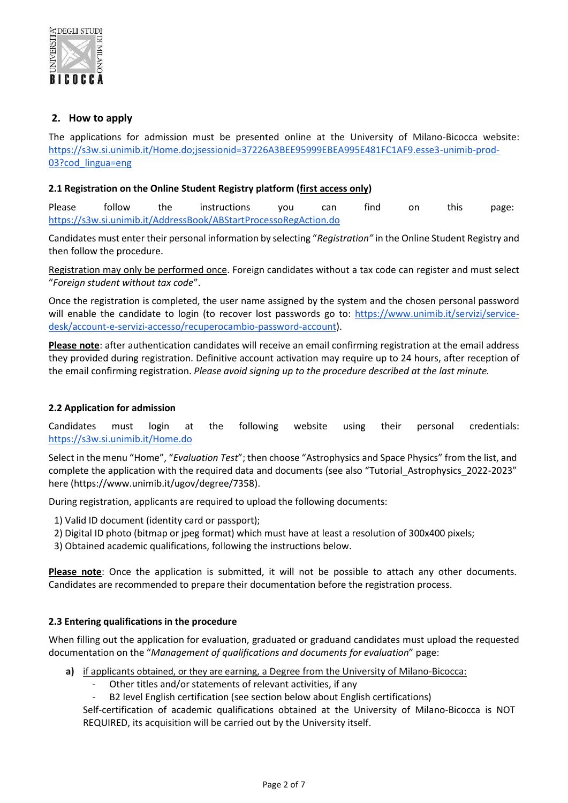

# **2. How to apply**

The applications for admission must be presented online at the University of Milano-Bicocca website: [https://s3w.si.unimib.it/Home.do;jsessionid=37226A3BEE95999EBEA995E481FC1AF9.esse3-unimib-prod-](https://s3w.si.unimib.it/Home.do;jsessionid=37226A3BEE95999EBEA995E481FC1AF9.esse3-unimib-prod-03?cod_lingua=eng)[03?cod\\_lingua=eng](https://s3w.si.unimib.it/Home.do;jsessionid=37226A3BEE95999EBEA995E481FC1AF9.esse3-unimib-prod-03?cod_lingua=eng)

## **2.1 Registration on the Online Student Registry platform (first access only)**

Please follow the instructions you can find on this page: <https://s3w.si.unimib.it/AddressBook/ABStartProcessoRegAction.do>

Candidates must enter their personal information by selecting "*Registration"* in the Online Student Registry and then follow the procedure.

Registration may only be performed once. Foreign candidates without a tax code can register and must select "*Foreign student without tax code*".

Once the registration is completed, the user name assigned by the system and the chosen personal password will enable the candidate to login (to recover lost passwords go to: [https://www.unimib.it/servizi/service](https://www.unimib.it/servizi/service-desk/account-e-servizi-accesso/recuperocambio-password-account)[desk/account-e-servizi-accesso/recuperocambio-password-account\)](https://www.unimib.it/servizi/service-desk/account-e-servizi-accesso/recuperocambio-password-account).

**Please note**: after authentication candidates will receive an email confirming registration at the email address they provided during registration. Definitive account activation may require up to 24 hours, after reception of the email confirming registration. *Please avoid signing up to the procedure described at the last minute.*

## **2.2 Application for admission**

Candidates must login at the following website using their personal credentials: <https://s3w.si.unimib.it/Home.do>

Select in the menu "Home", "*Evaluation Test*"; then choose "Astrophysics and Space Physics" from the list, and complete the application with the required data and documents (see also "Tutorial\_Astrophysics\_2022-2023" here (https://www.unimib.it/ugov/degree/7358).

During registration, applicants are required to upload the following documents:

- 1) Valid ID document (identity card or passport);
- 2) Digital ID photo (bitmap or jpeg format) which must have at least a resolution of 300x400 pixels;

3) Obtained academic qualifications, following the instructions below.

**Please note**: Once the application is submitted, it will not be possible to attach any other documents. Candidates are recommended to prepare their documentation before the registration process.

## **2.3 Entering qualifications in the procedure**

When filling out the application for evaluation, graduated or graduand candidates must upload the requested documentation on the "*Management of qualifications and documents for evaluation*" page:

- **a)** if applicants obtained, or they are earning, a Degree from the University of Milano-Bicocca:
	- Other titles and/or statements of relevant activities, if any
	- B2 level English certification (see section below about English certifications)

Self-certification of academic qualifications obtained at the University of Milano-Bicocca is NOT REQUIRED, its acquisition will be carried out by the University itself.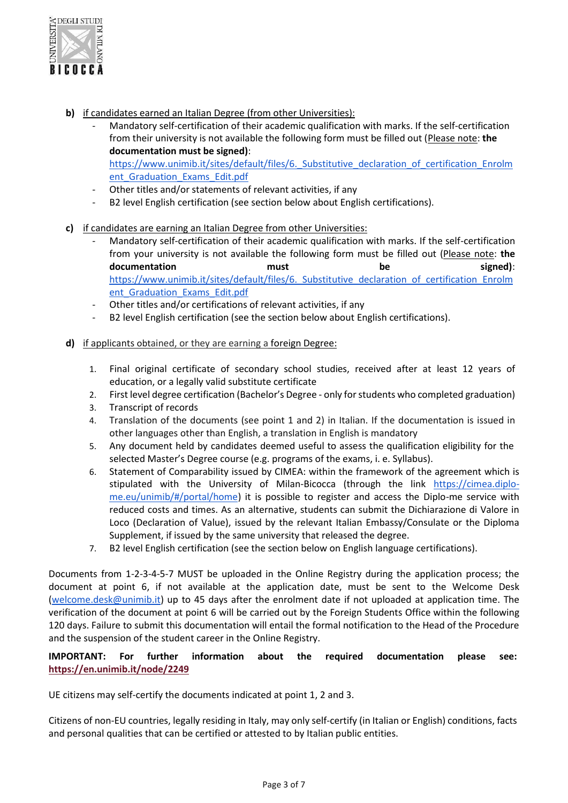

- **b)** if candidates earned an Italian Degree (from other Universities):
	- Mandatory self-certification of their academic qualification with marks. If the self-certification from their university is not available the following form must be filled out (Please note: **the documentation must be signed)**: https://www.unimib.it/sites/default/files/6. Substitutive declaration of certification Enrolm

ent Graduation Exams Edit.pdf

- Other titles and/or statements of relevant activities, if any
- B2 level English certification (see section below about English certifications).
- **c)** if candidates are earning an Italian Degree from other Universities:
	- Mandatory self-certification of their academic qualification with marks. If the self-certification from your university is not available the following form must be filled out (Please note: **the documentation** must be signed): https://www.unimib.it/sites/default/files/6. Substitutive declaration of certification Enrolm ent Graduation Exams Edit.pdf
	- Other titles and/or certifications of relevant activities, if any
	- B2 level English certification (see the section below about English certifications).
- **d)** if applicants obtained, or they are earning a foreign Degree:
	- 1. Final original certificate of secondary school studies, received after at least 12 years of education, or a legally valid substitute certificate
	- 2. First level degree certification (Bachelor's Degree only for students who completed graduation)
	- 3. Transcript of records
	- 4. Translation of the documents (see point 1 and 2) in Italian. If the documentation is issued in other languages other than English, a translation in English is mandatory
	- 5. Any document held by candidates deemed useful to assess the qualification eligibility for the selected Master's Degree course (e.g. programs of the exams, i. e. Syllabus).
	- 6. Statement of Comparability issued by CIMEA: within the framework of the agreement which is stipulated with the University of Milan-Bicocca (through the link [https://cimea.diplo](https://cimea.diplo-me.eu/unimib/#/portal/home)[me.eu/unimib/#/portal/home\)](https://cimea.diplo-me.eu/unimib/#/portal/home) it is possible to register and access the Diplo-me service with reduced costs and times. As an alternative, students can submit the Dichiarazione di Valore in Loco (Declaration of Value), issued by the relevant Italian Embassy/Consulate or the Diploma Supplement, if issued by the same university that released the degree.
	- 7. B2 level English certification (see the section below on English language certifications).

Documents from 1-2-3-4-5-7 MUST be uploaded in the Online Registry during the application process; the document at point 6, if not available at the application date, must be sent to the Welcome Desk [\(welcome.desk@unimib.it\)](mailto:welcome.desk@unimib.it) up to 45 days after the enrolment date if not uploaded at application time. The verification of the document at point 6 will be carried out by the Foreign Students Office within the following 120 days. Failure to submit this documentation will entail the formal notification to the Head of the Procedure and the suspension of the student career in the Online Registry.

# **IMPORTANT: For further information about the required documentation please see: <https://en.unimib.it/node/2249>**

UE citizens may self‐certify the documents indicated at point 1, 2 and 3.

Citizens of non-EU countries, legally residing in Italy, may only self-certify (in Italian or English) conditions, facts and personal qualities that can be certified or attested to by Italian public entities.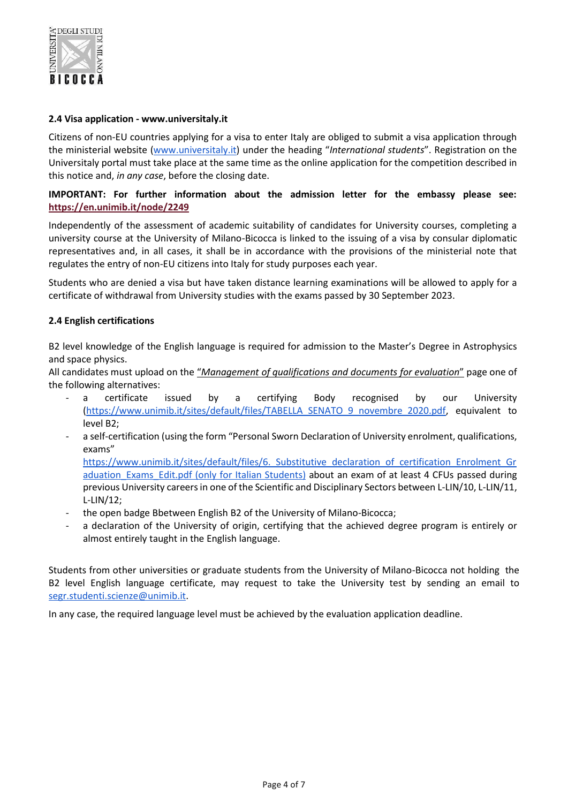

## **2.4 Visa application - www.universitaly.it**

Citizens of non-EU countries applying for a visa to enter Italy are obliged to submit a visa application through the ministerial website [\(www.universitaly.it](http://www.universitaly.it/)) under the heading "*International students*". Registration on the Universitaly portal must take place at the same time as the online application for the competition described in this notice and, *in any case*, before the closing date.

## **IMPORTANT: For further information about the admission letter for the embassy please see: <https://en.unimib.it/node/2249>**

Independently of the assessment of academic suitability of candidates for University courses, completing a university course at the University of Milano-Bicocca is linked to the issuing of a visa by consular diplomatic representatives and, in all cases, it shall be in accordance with the provisions of the ministerial note that regulates the entry of non-EU citizens into Italy for study purposes each year.

Students who are denied a visa but have taken distance learning examinations will be allowed to apply for a certificate of withdrawal from University studies with the exams passed by 30 September 2023.

## **2.4 English certifications**

B2 level knowledge of the English language is required for admission to the Master's Degree in Astrophysics and space physics.

All candidates must upload on the "*Management of qualifications and documents for evaluation*" page one of the following alternatives:

- a certificate issued by a certifying Body recognised by our University [\(https://www.unimib.it/sites/default/files/TABELLA\\_SENATO\\_9\\_novembre\\_2020.pdf,](https://www.unimib.it/sites/default/files/TABELLA_SENATO_9_novembre_2020.pdf) equivalent to level B2;
- a self-certification (using the form "Personal Sworn Declaration of University enrolment, qualifications, exams"

https://www.unimib.it/sites/default/files/6. Substitutive declaration of certification Enrolment Gr aduation Exams Edit.pdf (only for Italian Students) about an exam of at least 4 CFUs passed during previous University careers in one of the Scientific and Disciplinary Sectors between L-LIN/10, L-LIN/11, L-LIN/12;

- the open badge Bbetween English B2 of the University of Milano-Bicocca;
- a declaration of the University of origin, certifying that the achieved degree program is entirely or almost entirely taught in the English language.

Students from other universities or graduate students from the University of Milano-Bicocca not holding the B2 level English language certificate, may request to take the University test by sending an email to [segr.studenti.scienze@unimib.it.](mailto:segr.studenti.scienze@unimib.it)

In any case, the required language level must be achieved by the evaluation application deadline.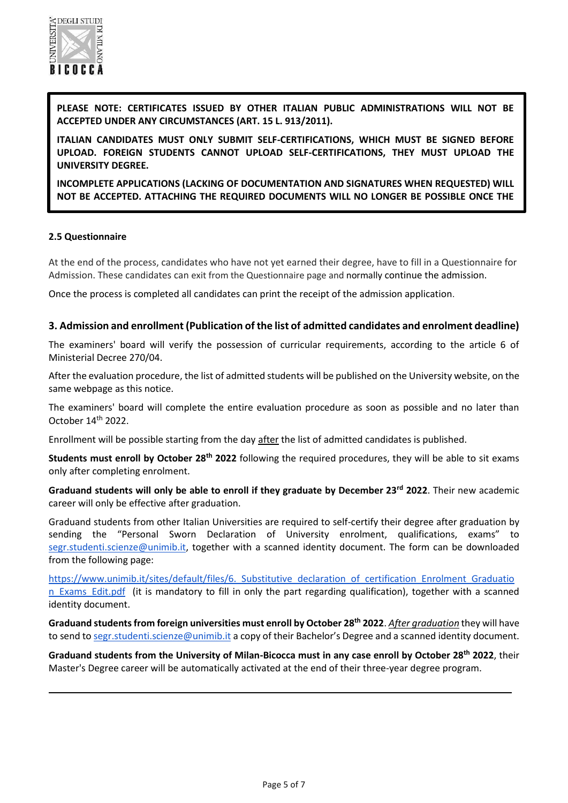

**PLEASE NOTE: CERTIFICATES ISSUED BY OTHER ITALIAN PUBLIC ADMINISTRATIONS WILL NOT BE ACCEPTED UNDER ANY CIRCUMSTANCES (ART. 15 L. 913/2011).**

**ITALIAN CANDIDATES MUST ONLY SUBMIT SELF-CERTIFICATIONS, WHICH MUST BE SIGNED BEFORE UPLOAD. FOREIGN STUDENTS CANNOT UPLOAD SELF-CERTIFICATIONS, THEY MUST UPLOAD THE UNIVERSITY DEGREE.** 

**INCOMPLETE APPLICATIONS (LACKING OF DOCUMENTATION AND SIGNATURES WHEN REQUESTED) WILL NOT BE ACCEPTED. ATTACHING THE REQUIRED DOCUMENTS WILL NO LONGER BE POSSIBLE ONCE THE** 

#### **2.5 Questionnaire**

**APPLICATION IS CONFIRMED.** 

At the end of the process, candidates who have not yet earned their degree, have to fill in a Questionnaire for Admission. These candidates can exit from the Questionnaire page and <mark>normally continue the admission</mark>.

Once the process is completed all candidates can print the receipt of the admission application.

#### **3. Admission and enrollment (Publication of the list of admitted candidates and enrolment deadline)**

The examiners' board will verify the possession of curricular requirements, according to the article 6 of Ministerial Decree 270/04.

After the evaluation procedure, the list of admitted students will be published on the University website, on the same webpage as this notice.

The examiners' board will complete the entire evaluation procedure as soon as possible and no later than October 14th 2022.

Enrollment will be possible starting from the day after the list of admitted candidates is published.

**Students must enroll by October 28th 2022** following the required procedures, they will be able to sit exams only after completing enrolment.

**Graduand students will only be able to enroll if they graduate by December 23rd 2022**. Their new academic career will only be effective after graduation.

Graduand students from other Italian Universities are required to self-certify their degree after graduation by sending the "Personal Sworn Declaration of University enrolment, qualifications, exams" to [segr.studenti.scienze@unimib.it,](mailto:segr.studenti.scienze@unimib.it) together with a scanned identity document. The form can be downloaded from the following page:

https://www.unimib.it/sites/default/files/6. Substitutive declaration of certification Enrolment Graduatio n Exams Edit.pdf (it is mandatory to fill in only the part regarding qualification), together with a scanned identity document.

**Graduand students from foreign universities must enroll by October 28th 2022**. *After graduation* they will have to send to [segr.studenti.scienze@unimib.it](mailto:segr.studenti.scienze@unimib.it) a copy of their Bachelor's Degree and a scanned identity document.

**Graduand students from the University of Milan-Bicocca must in any case enroll by October 28th 2022**, their Master's Degree career will be automatically activated at the end of their three-year degree program.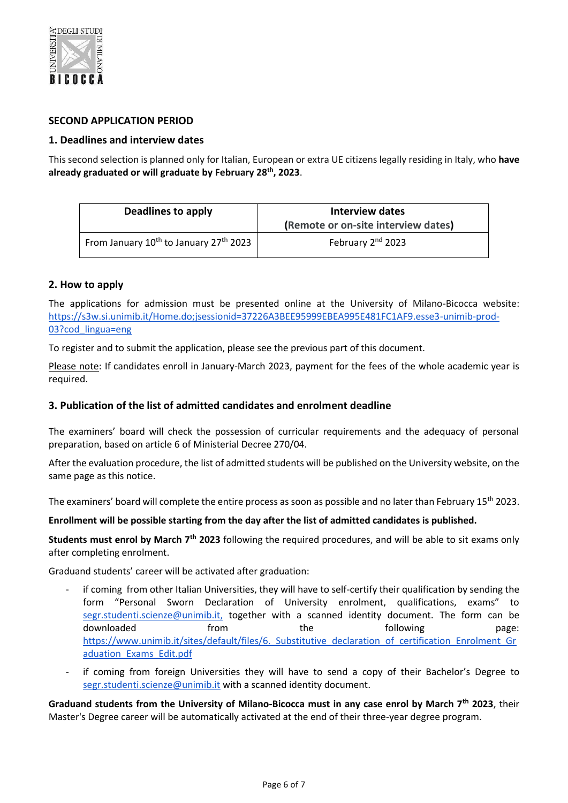

# **SECOND APPLICATION PERIOD**

## **1. Deadlines and interview dates**

This second selection is planned only for Italian, European or extra UE citizens legally residing in Italy, who **have already graduated or will graduate by February 28<sup>t</sup><sup>h</sup> , 2023**.

| Deadlines to apply                                             | Interview dates<br>(Remote or on-site interview dates) |
|----------------------------------------------------------------|--------------------------------------------------------|
| From January 10 <sup>th</sup> to January 27 <sup>th</sup> 2023 | February 2 <sup>nd</sup> 2023                          |

## **2. How to apply**

The applications for admission must be presented online at the University of Milano-Bicocca website: [https://s3w.si.unimib.it/Home.do;jsessionid=37226A3BEE95999EBEA995E481FC1AF9.esse3-unimib-prod-](https://s3w.si.unimib.it/Home.do;jsessionid=37226A3BEE95999EBEA995E481FC1AF9.esse3-unimib-prod-03?cod_lingua=eng)[03?cod\\_lingua=eng](https://s3w.si.unimib.it/Home.do;jsessionid=37226A3BEE95999EBEA995E481FC1AF9.esse3-unimib-prod-03?cod_lingua=eng)

To register and to submit the application, please see the previous part of this document.

Please note: If candidates enroll in January-March 2023, payment for the fees of the whole academic year is required.

# **3. Publication of the list of admitted candidates and enrolment deadline**

The examiners' board will check the possession of curricular requirements and the adequacy of personal preparation, based on article 6 of Ministerial Decree 270/04.

After the evaluation procedure, the list of admitted students will be published on the University website, on the same page as this notice.

The examiners' board will complete the entire process as soon as possible and no later than February 15<sup>th</sup> 2023.

## **Enrollment will be possible starting from the day after the list of admitted candidates is published.**

**Students must enrol by March 7th 2023** following the required procedures, and will be able to sit exams only after completing enrolment.

Graduand students' career will be activated after graduation:

- if coming from other Italian Universities, they will have to self-certify their qualification by sending the form "Personal Sworn Declaration of University enrolment, qualifications, exams" to [segr.studenti.scienze@unimib.it,](mailto:segr.studenti.scienze@unimib.it) together with a scanned identity document. The form can be downloaded **from** the following page: https://www.unimib.it/sites/default/files/6. Substitutive declaration of certification Enrolment Gr [aduation\\_Exams\\_Edit.pdf](https://www.unimib.it/sites/default/files/6._Substitutive_declaration_of_certification_Enrolment_Graduation_Exams_Edit.pdf)
- if coming from foreign Universities they will have to send a copy of their Bachelor's Degree to [segr.studenti.scienze@unimib.it](mailto:segr.studenti.scienze@unimib.it) with a scanned identity document.

**Graduand students from the University of Milano-Bicocca must in any case enrol by March 7th 2023**, their Master's Degree career will be automatically activated at the end of their three-year degree program.